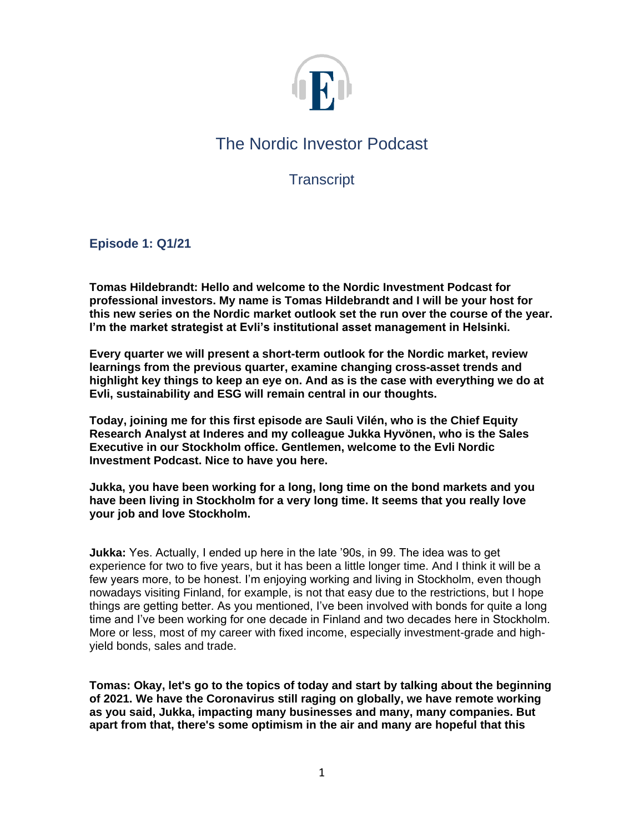

# The Nordic Investor Podcast

**Transcript** 

**Episode 1: Q1/21**

**Tomas Hildebrandt: Hello and welcome to the Nordic Investment Podcast for professional investors. My name is Tomas Hildebrandt and I will be your host for this new series on the Nordic market outlook set the run over the course of the year. I'm the market strategist at Evli's institutional asset management in Helsinki.**

**Every quarter we will present a short-term outlook for the Nordic market, review learnings from the previous quarter, examine changing cross-asset trends and highlight key things to keep an eye on. And as is the case with everything we do at Evli, sustainability and ESG will remain central in our thoughts.**

**Today, joining me for this first episode are Sauli Vilén, who is the Chief Equity Research Analyst at Inderes and my colleague Jukka Hyvönen, who is the Sales Executive in our Stockholm office. Gentlemen, welcome to the Evli Nordic Investment Podcast. Nice to have you here.**

**Jukka, you have been working for a long, long time on the bond markets and you have been living in Stockholm for a very long time. It seems that you really love your job and love Stockholm.**

**Jukka:** Yes. Actually, I ended up here in the late '90s, in 99. The idea was to get experience for two to five years, but it has been a little longer time. And I think it will be a few years more, to be honest. I'm enjoying working and living in Stockholm, even though nowadays visiting Finland, for example, is not that easy due to the restrictions, but I hope things are getting better. As you mentioned, I've been involved with bonds for quite a long time and I've been working for one decade in Finland and two decades here in Stockholm. More or less, most of my career with fixed income, especially investment-grade and highyield bonds, sales and trade.

**Tomas: Okay, let's go to the topics of today and start by talking about the beginning of 2021. We have the Coronavirus still raging on globally, we have remote working as you said, Jukka, impacting many businesses and many, many companies. But apart from that, there's some optimism in the air and many are hopeful that this**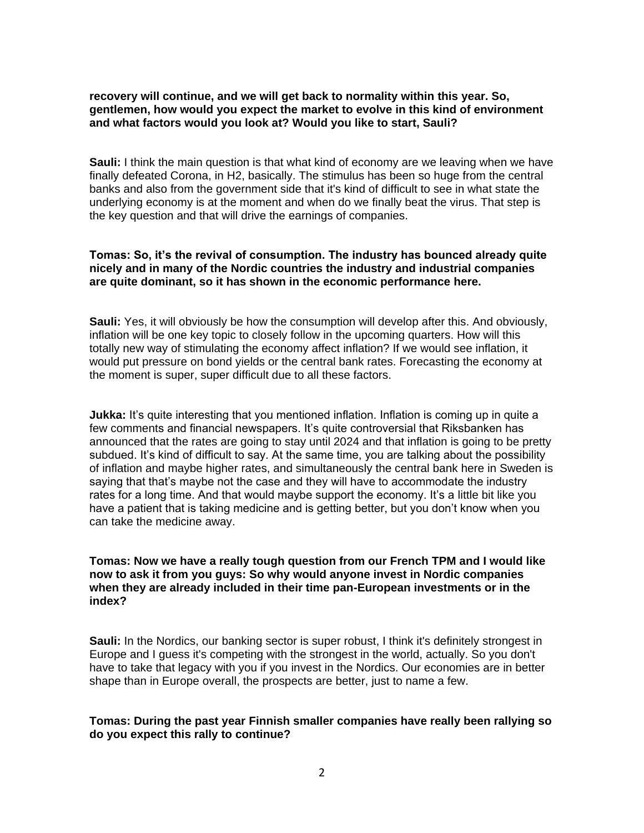### **recovery will continue, and we will get back to normality within this year. So, gentlemen, how would you expect the market to evolve in this kind of environment and what factors would you look at? Would you like to start, Sauli?**

**Sauli:** I think the main question is that what kind of economy are we leaving when we have finally defeated Corona, in H2, basically. The stimulus has been so huge from the central banks and also from the government side that it's kind of difficult to see in what state the underlying economy is at the moment and when do we finally beat the virus. That step is the key question and that will drive the earnings of companies.

### **Tomas: So, it's the revival of consumption. The industry has bounced already quite nicely and in many of the Nordic countries the industry and industrial companies are quite dominant, so it has shown in the economic performance here.**

**Sauli:** Yes, it will obviously be how the consumption will develop after this. And obviously, inflation will be one key topic to closely follow in the upcoming quarters. How will this totally new way of stimulating the economy affect inflation? If we would see inflation, it would put pressure on bond yields or the central bank rates. Forecasting the economy at the moment is super, super difficult due to all these factors.

**Jukka:** It's quite interesting that you mentioned inflation. Inflation is coming up in quite a few comments and financial newspapers. It's quite controversial that Riksbanken has announced that the rates are going to stay until 2024 and that inflation is going to be pretty subdued. It's kind of difficult to say. At the same time, you are talking about the possibility of inflation and maybe higher rates, and simultaneously the central bank here in Sweden is saying that that's maybe not the case and they will have to accommodate the industry rates for a long time. And that would maybe support the economy. It's a little bit like you have a patient that is taking medicine and is getting better, but you don't know when you can take the medicine away.

### **Tomas: Now we have a really tough question from our French TPM and I would like now to ask it from you guys: So why would anyone invest in Nordic companies when they are already included in their time pan-European investments or in the index?**

**Sauli:** In the Nordics, our banking sector is super robust, I think it's definitely strongest in Europe and I guess it's competing with the strongest in the world, actually. So you don't have to take that legacy with you if you invest in the Nordics. Our economies are in better shape than in Europe overall, the prospects are better, just to name a few.

# **Tomas: During the past year Finnish smaller companies have really been rallying so do you expect this rally to continue?**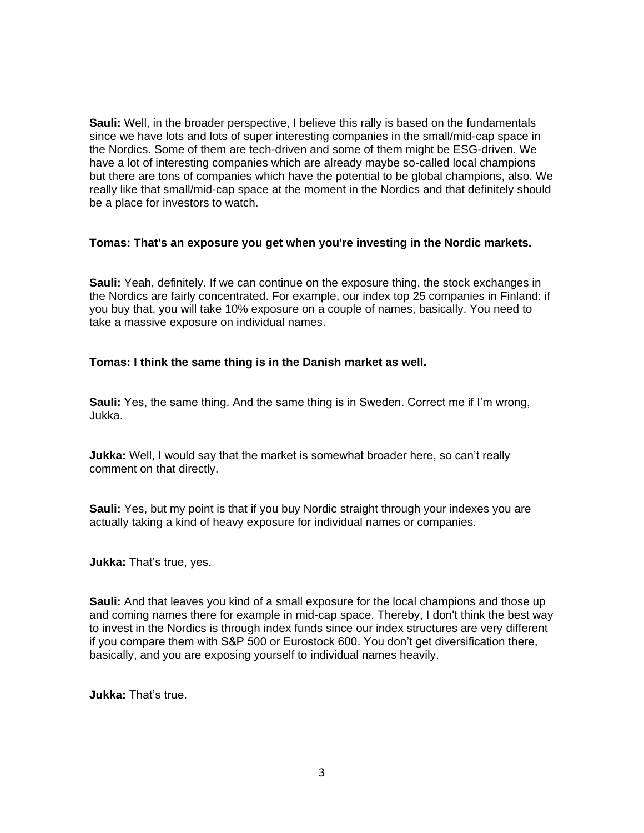**Sauli:** Well, in the broader perspective, I believe this rally is based on the fundamentals since we have lots and lots of super interesting companies in the small/mid-cap space in the Nordics. Some of them are tech-driven and some of them might be ESG-driven. We have a lot of interesting companies which are already maybe so-called local champions but there are tons of companies which have the potential to be global champions, also. We really like that small/mid-cap space at the moment in the Nordics and that definitely should be a place for investors to watch.

# **Tomas: That's an exposure you get when you're investing in the Nordic markets.**

**Sauli:** Yeah, definitely. If we can continue on the exposure thing, the stock exchanges in the Nordics are fairly concentrated. For example, our index top 25 companies in Finland: if you buy that, you will take 10% exposure on a couple of names, basically. You need to take a massive exposure on individual names.

# **Tomas: I think the same thing is in the Danish market as well.**

**Sauli:** Yes, the same thing. And the same thing is in Sweden. Correct me if I'm wrong, Jukka.

**Jukka:** Well, I would say that the market is somewhat broader here, so can't really comment on that directly.

**Sauli:** Yes, but my point is that if you buy Nordic straight through your indexes you are actually taking a kind of heavy exposure for individual names or companies.

**Jukka:** That's true, yes.

**Sauli:** And that leaves you kind of a small exposure for the local champions and those up and coming names there for example in mid-cap space. Thereby, I don't think the best way to invest in the Nordics is through index funds since our index structures are very different if you compare them with S&P 500 or Eurostock 600. You don't get diversification there, basically, and you are exposing yourself to individual names heavily.

**Jukka:** That's true.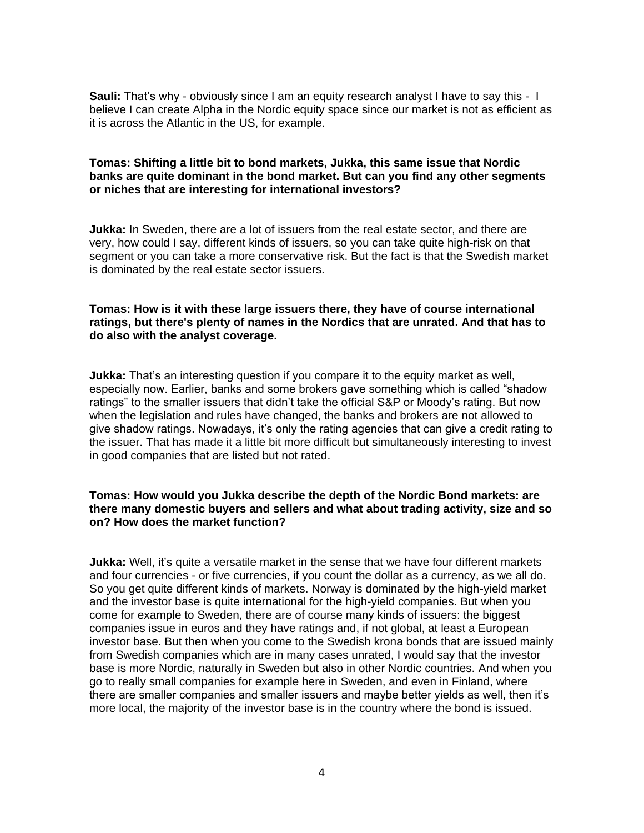**Sauli:** That's why - obviously since I am an equity research analyst I have to say this - I believe I can create Alpha in the Nordic equity space since our market is not as efficient as it is across the Atlantic in the US, for example.

## **Tomas: Shifting a little bit to bond markets, Jukka, this same issue that Nordic banks are quite dominant in the bond market. But can you find any other segments or niches that are interesting for international investors?**

**Jukka:** In Sweden, there are a lot of issuers from the real estate sector, and there are very, how could I say, different kinds of issuers, so you can take quite high-risk on that segment or you can take a more conservative risk. But the fact is that the Swedish market is dominated by the real estate sector issuers.

# **Tomas: How is it with these large issuers there, they have of course international ratings, but there's plenty of names in the Nordics that are unrated. And that has to do also with the analyst coverage.**

**Jukka:** That's an interesting question if you compare it to the equity market as well, especially now. Earlier, banks and some brokers gave something which is called "shadow ratings" to the smaller issuers that didn't take the official S&P or Moody's rating. But now when the legislation and rules have changed, the banks and brokers are not allowed to give shadow ratings. Nowadays, it's only the rating agencies that can give a credit rating to the issuer. That has made it a little bit more difficult but simultaneously interesting to invest in good companies that are listed but not rated.

## **Tomas: How would you Jukka describe the depth of the Nordic Bond markets: are there many domestic buyers and sellers and what about trading activity, size and so on? How does the market function?**

**Jukka:** Well, it's quite a versatile market in the sense that we have four different markets and four currencies - or five currencies, if you count the dollar as a currency, as we all do. So you get quite different kinds of markets. Norway is dominated by the high-yield market and the investor base is quite international for the high-yield companies. But when you come for example to Sweden, there are of course many kinds of issuers: the biggest companies issue in euros and they have ratings and, if not global, at least a European investor base. But then when you come to the Swedish krona bonds that are issued mainly from Swedish companies which are in many cases unrated, I would say that the investor base is more Nordic, naturally in Sweden but also in other Nordic countries. And when you go to really small companies for example here in Sweden, and even in Finland, where there are smaller companies and smaller issuers and maybe better yields as well, then it's more local, the majority of the investor base is in the country where the bond is issued.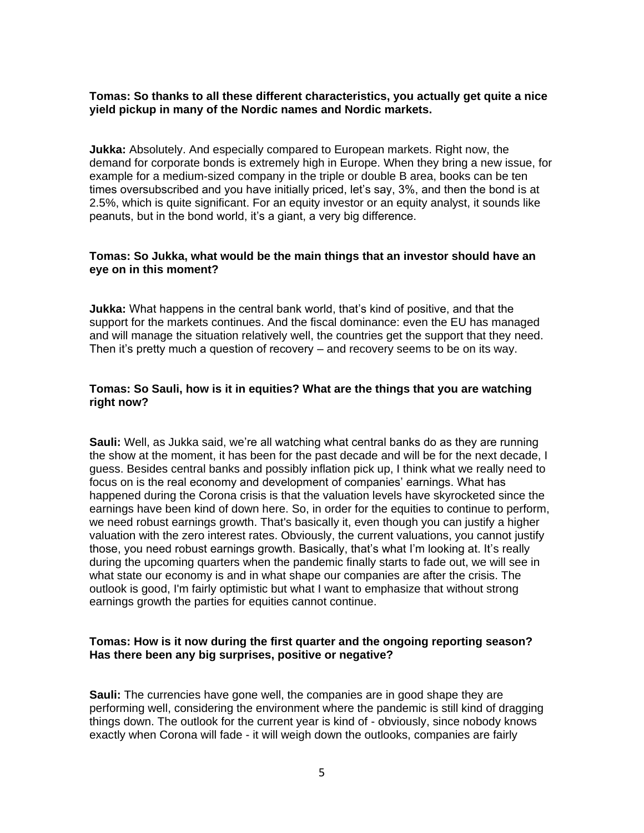## **Tomas: So thanks to all these different characteristics, you actually get quite a nice yield pickup in many of the Nordic names and Nordic markets.**

**Jukka:** Absolutely. And especially compared to European markets. Right now, the demand for corporate bonds is extremely high in Europe. When they bring a new issue, for example for a medium-sized company in the triple or double B area, books can be ten times oversubscribed and you have initially priced, let's say, 3%, and then the bond is at 2.5%, which is quite significant. For an equity investor or an equity analyst, it sounds like peanuts, but in the bond world, it's a giant, a very big difference.

## **Tomas: So Jukka, what would be the main things that an investor should have an eye on in this moment?**

**Jukka:** What happens in the central bank world, that's kind of positive, and that the support for the markets continues. And the fiscal dominance: even the EU has managed and will manage the situation relatively well, the countries get the support that they need. Then it's pretty much a question of recovery – and recovery seems to be on its way.

## **Tomas: So Sauli, how is it in equities? What are the things that you are watching right now?**

**Sauli:** Well, as Jukka said, we're all watching what central banks do as they are running the show at the moment, it has been for the past decade and will be for the next decade, I guess. Besides central banks and possibly inflation pick up, I think what we really need to focus on is the real economy and development of companies' earnings. What has happened during the Corona crisis is that the valuation levels have skyrocketed since the earnings have been kind of down here. So, in order for the equities to continue to perform, we need robust earnings growth. That's basically it, even though you can justify a higher valuation with the zero interest rates. Obviously, the current valuations, you cannot justify those, you need robust earnings growth. Basically, that's what I'm looking at. It's really during the upcoming quarters when the pandemic finally starts to fade out, we will see in what state our economy is and in what shape our companies are after the crisis. The outlook is good, I'm fairly optimistic but what I want to emphasize that without strong earnings growth the parties for equities cannot continue.

### **Tomas: How is it now during the first quarter and the ongoing reporting season? Has there been any big surprises, positive or negative?**

**Sauli:** The currencies have gone well, the companies are in good shape they are performing well, considering the environment where the pandemic is still kind of dragging things down. The outlook for the current year is kind of - obviously, since nobody knows exactly when Corona will fade - it will weigh down the outlooks, companies are fairly